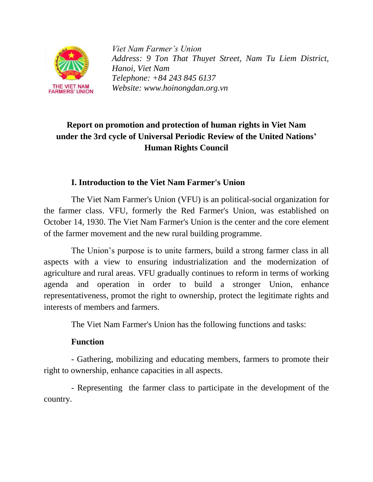

*Viet Nam Farmer's Union Address: 9 Ton That Thuyet Street, Nam Tu Liem District, Hanoi, Viet Nam Telephone: +84 243 845 6137 Website: www.hoinongdan.org.vn*

# **Report on promotion and protection of human rights in Viet Nam under the 3rd cycle of Universal Periodic Review of the United Nations' Human Rights Council**

#### **I. Introduction to the Viet Nam Farmer's Union**

The Viet Nam Farmer's Union (VFU) is an political-social organization for the farmer class. VFU, formerly the Red Farmer's Union, was established on October 14, 1930. The Viet Nam Farmer's Union is the center and the core element of the farmer movement and the new rural building programme.

The Union's purpose is to unite farmers, build a strong farmer class in all aspects with a view to ensuring industrialization and the modernization of agriculture and rural areas. VFU gradually continues to reform in terms of working agenda and operation in order to build a stronger Union, enhance representativeness, promot the right to ownership, protect the legitimate rights and interests of members and farmers.

The Viet Nam Farmer's Union has the following functions and tasks:

#### **Function**

- Gathering, mobilizing and educating members, farmers to promote their right to ownership, enhance capacities in all aspects.

- Representing the farmer class to participate in the development of the country.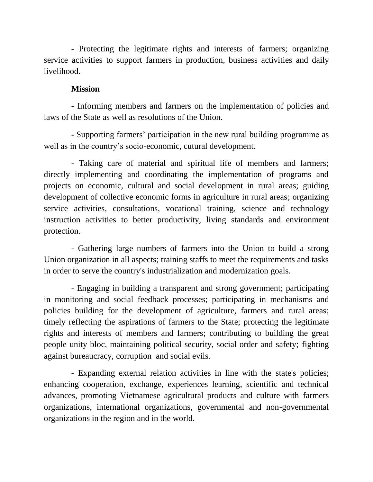- Protecting the legitimate rights and interests of farmers; organizing service activities to support farmers in production, business activities and daily livelihood.

#### **Mission**

- Informing members and farmers on the implementation of policies and laws of the State as well as resolutions of the Union.

- Supporting farmers' participation in the new rural building programme as well as in the country's socio-economic, cutural development.

- Taking care of material and spiritual life of members and farmers; directly implementing and coordinating the implementation of programs and projects on economic, cultural and social development in rural areas; guiding development of collective economic forms in agriculture in rural areas; organizing service activities, consultations, vocational training, science and technology instruction activities to better productivity, living standards and environment protection.

- Gathering large numbers of farmers into the Union to build a strong Union organization in all aspects; training staffs to meet the requirements and tasks in order to serve the country's industrialization and modernization goals.

- Engaging in building a transparent and strong government; participating in monitoring and social feedback processes; participating in mechanisms and policies building for the development of agriculture, farmers and rural areas; timely reflecting the aspirations of farmers to the State; protecting the legitimate rights and interests of members and farmers; contributing to building the great people unity bloc, maintaining political security, social order and safety; fighting against bureaucracy, corruption and social evils.

- Expanding external relation activities in line with the state's policies; enhancing cooperation, exchange, experiences learning, scientific and technical advances, promoting Vietnamese agricultural products and culture with farmers organizations, international organizations, governmental and non-governmental organizations in the region and in the world.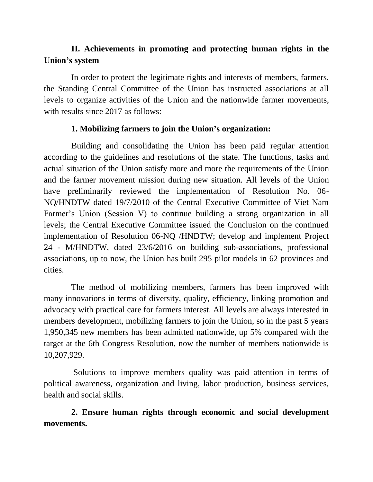## **II. Achievements in promoting and protecting human rights in the Union's system**

In order to protect the legitimate rights and interests of members, farmers, the Standing Central Committee of the Union has instructed associations at all levels to organize activities of the Union and the nationwide farmer movements, with results since 2017 as follows:

#### **1. Mobilizing farmers to join the Union's organization:**

Building and consolidating the Union has been paid regular attention according to the guidelines and resolutions of the state. The functions, tasks and actual situation of the Union satisfy more and more the requirements of the Union and the farmer movement mission during new situation. All levels of the Union have preliminarily reviewed the implementation of Resolution No. 06- NQ/HNDTW dated 19/7/2010 of the Central Executive Committee of Viet Nam Farmer's Union (Session V) to continue building a strong organization in all levels; the Central Executive Committee issued the Conclusion on the continued implementation of Resolution 06-NQ /HNDTW; develop and implement Project 24 - M/HNDTW, dated 23/6/2016 on building sub-associations, professional associations, up to now, the Union has built 295 pilot models in 62 provinces and cities.

The method of mobilizing members, farmers has been improved with many innovations in terms of diversity, quality, efficiency, linking promotion and advocacy with practical care for farmers interest. All levels are always interested in members development, mobilizing farmers to join the Union, so in the past 5 years 1,950,345 new members has been admitted nationwide, up 5% compared with the target at the 6th Congress Resolution, now the number of members nationwide is 10,207,929.

Solutions to improve members quality was paid attention in terms of political awareness, organization and living, labor production, business services, health and social skills.

**2. Ensure human rights through economic and social development movements.**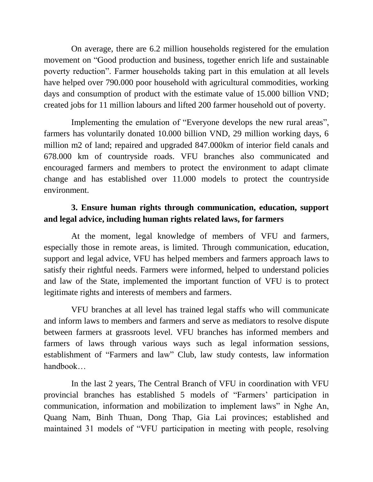On average, there are 6.2 million households registered for the emulation movement on "Good production and business, together enrich life and sustainable poverty reduction". Farmer households taking part in this emulation at all levels have helped over 790.000 poor household with agricultural commodities, working days and consumption of product with the estimate value of 15.000 billion VND; created jobs for 11 million labours and lifted 200 farmer household out of poverty.

Implementing the emulation of "Everyone develops the new rural areas", farmers has voluntarily donated 10.000 billion VND, 29 million working days, 6 million m2 of land; repaired and upgraded 847.000km of interior field canals and 678.000 km of countryside roads. VFU branches also communicated and encouraged farmers and members to protect the environment to adapt climate change and has established over 11.000 models to protect the countryside environment.

### **3. Ensure human rights through communication, education, support and legal advice, including human rights related laws, for farmers**

At the moment, legal knowledge of members of VFU and farmers, especially those in remote areas, is limited. Through communication, education, support and legal advice, VFU has helped members and farmers approach laws to satisfy their rightful needs. Farmers were informed, helped to understand policies and law of the State, implemented the important function of VFU is to protect legitimate rights and interests of members and farmers.

VFU branches at all level has trained legal staffs who will communicate and inform laws to members and farmers and serve as mediators to resolve dispute between farmers at grassroots level. VFU branches has informed members and farmers of laws through various ways such as legal information sessions, establishment of "Farmers and law" Club, law study contests, law information handbook…

In the last 2 years, The Central Branch of VFU in coordination with VFU provincial branches has established 5 models of "Farmers' participation in communication, information and mobilization to implement laws" in Nghe An, Quang Nam, Binh Thuan, Dong Thap, Gia Lai provinces; established and maintained 31 models of "VFU participation in meeting with people, resolving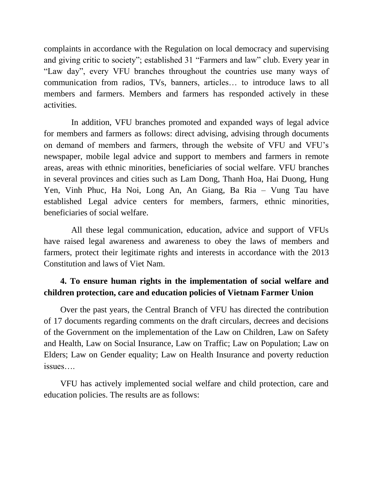complaints in accordance with the Regulation on local democracy and supervising and giving critic to society"; established 31 "Farmers and law" club. Every year in "Law day", every VFU branches throughout the countries use many ways of communication from radios, TVs, banners, articles… to introduce laws to all members and farmers. Members and farmers has responded actively in these activities.

In addition, VFU branches promoted and expanded ways of legal advice for members and farmers as follows: direct advising, advising through documents on demand of members and farmers, through the website of VFU and VFU's newspaper, mobile legal advice and support to members and farmers in remote areas, areas with ethnic minorities, beneficiaries of social welfare. VFU branches in several provinces and cities such as Lam Dong, Thanh Hoa, Hai Duong, Hung Yen, Vinh Phuc, Ha Noi, Long An, An Giang, Ba Ria – Vung Tau have established Legal advice centers for members, farmers, ethnic minorities, beneficiaries of social welfare.

All these legal communication, education, advice and support of VFUs have raised legal awareness and awareness to obey the laws of members and farmers, protect their legitimate rights and interests in accordance with the 2013 Constitution and laws of Viet Nam.

## **4. To ensure human rights in the implementation of social welfare and children protection, care and education policies of Vietnam Farmer Union**

Over the past years, the Central Branch of VFU has directed the contribution of 17 documents regarding comments on the draft circulars, decrees and decisions of the Government on the implementation of the Law on Children, Law on Safety and Health, Law on Social Insurance, Law on Traffic; Law on Population; Law on Elders; Law on Gender equality; Law on Health Insurance and poverty reduction issues….

VFU has actively implemented social welfare and child protection, care and education policies. The results are as follows: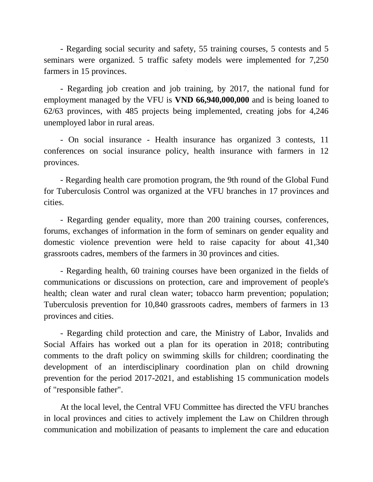- Regarding social security and safety, 55 training courses, 5 contests and 5 seminars were organized. 5 traffic safety models were implemented for 7,250 farmers in 15 provinces.

- Regarding job creation and job training, by 2017, the national fund for employment managed by the VFU is **VND 66,940,000,000** and is being loaned to 62/63 provinces, with 485 projects being implemented, creating jobs for 4,246 unemployed labor in rural areas.

- On social insurance - Health insurance has organized 3 contests, 11 conferences on social insurance policy, health insurance with farmers in 12 provinces.

- Regarding health care promotion program, the 9th round of the Global Fund for Tuberculosis Control was organized at the VFU branches in 17 provinces and cities.

- Regarding gender equality, more than 200 training courses, conferences, forums, exchanges of information in the form of seminars on gender equality and domestic violence prevention were held to raise capacity for about 41,340 grassroots cadres, members of the farmers in 30 provinces and cities.

- Regarding health, 60 training courses have been organized in the fields of communications or discussions on protection, care and improvement of people's health; clean water and rural clean water; tobacco harm prevention; population; Tuberculosis prevention for 10,840 grassroots cadres, members of farmers in 13 provinces and cities.

- Regarding child protection and care, the Ministry of Labor, Invalids and Social Affairs has worked out a plan for its operation in 2018; contributing comments to the draft policy on swimming skills for children; coordinating the development of an interdisciplinary coordination plan on child drowning prevention for the period 2017-2021, and establishing 15 communication models of "responsible father".

At the local level, the Central VFU Committee has directed the VFU branches in local provinces and cities to actively implement the Law on Children through communication and mobilization of peasants to implement the care and education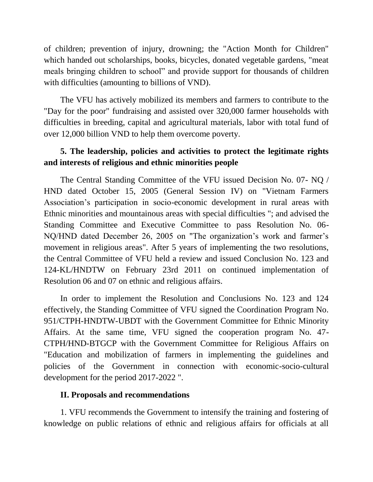of children; prevention of injury, drowning; the "Action Month for Children" which handed out scholarships, books, bicycles, donated vegetable gardens, "meat meals bringing children to school" and provide support for thousands of children with difficulties (amounting to billions of VND).

The VFU has actively mobilized its members and farmers to contribute to the "Day for the poor" fundraising and assisted over 320,000 farmer households with difficulties in breeding, capital and agricultural materials, labor with total fund of over 12,000 billion VND to help them overcome poverty.

### **5. The leadership, policies and activities to protect the legitimate rights and interests of religious and ethnic minorities people**

The Central Standing Committee of the VFU issued Decision No. 07- NQ / HND dated October 15, 2005 (General Session IV) on "Vietnam Farmers Association's participation in socio-economic development in rural areas with Ethnic minorities and mountainous areas with special difficulties "; and advised the Standing Committee and Executive Committee to pass Resolution No. 06- NQ/HND dated December 26, 2005 on "The organization's work and farmer's movement in religious areas". After 5 years of implementing the two resolutions, the Central Committee of VFU held a review and issued Conclusion No. 123 and 124-KL/HNDTW on February 23rd 2011 on continued implementation of Resolution 06 and 07 on ethnic and religious affairs.

In order to implement the Resolution and Conclusions No. 123 and 124 effectively, the Standing Committee of VFU signed the Coordination Program No. 951/CTPH-HNDTW-UBDT with the Government Committee for Ethnic Minority Affairs. At the same time, VFU signed the cooperation program No. 47- CTPH/HND-BTGCP with the Government Committee for Religious Affairs on "Education and mobilization of farmers in implementing the guidelines and policies of the Government in connection with economic-socio-cultural development for the period 2017-2022 ".

#### **II. Proposals and recommendations**

1. VFU recommends the Government to intensify the training and fostering of knowledge on public relations of ethnic and religious affairs for officials at all